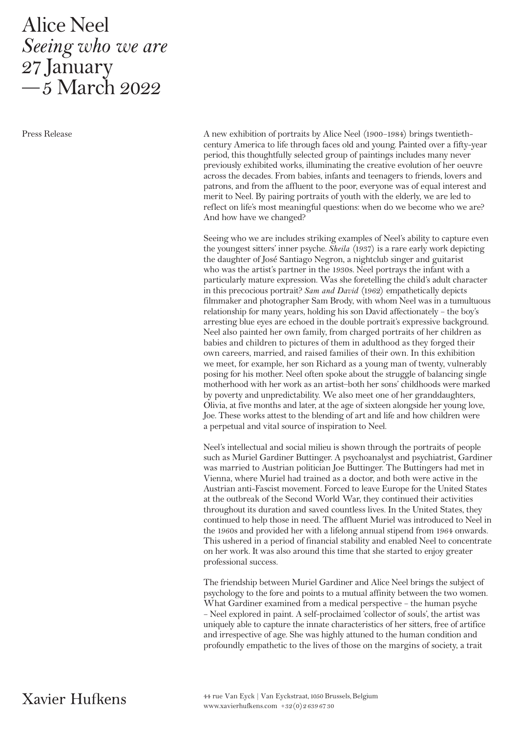## Alice Neel Seeing who we are 27 January —5 March 2022

Press Release

A new exhibition of portraits by Alice Neel (1900–1984) brings twentiethcentury America to life through faces old and young. Painted over a fifty-year period, this thoughtfully selected group of paintings includes many never previously exhibited works, illuminating the creative evolution of her oeuvre across the decades. From babies, infants and teenagers to friends, lovers and patrons, and from the affluent to the poor, everyone was of equal interest and merit to Neel. By pairing portraits of youth with the elderly, we are led to reflect on life's most meaningful questions: when do we become who we are? And how have we changed?

Seeing who we are includes striking examples of Neel's ability to capture even the youngest sitters' inner psyche. Sheila (1937) is a rare early work depicting the daughter of José Santiago Negron, a nightclub singer and guitarist who was the artist's partner in the 1930s. Neel portrays the infant with a particularly mature expression. Was she foretelling the child's adult character in this precocious portrait? Sam and David (1962) empathetically depicts filmmaker and photographer Sam Brody, with whom Neel was in a tumultuous relationship for many years, holding his son David affectionately – the boy's arresting blue eyes are echoed in the double portrait's expressive background. Neel also painted her own family, from charged portraits of her children as babies and children to pictures of them in adulthood as they forged their own careers, married, and raised families of their own. In this exhibition we meet, for example, her son Richard as a young man of twenty, vulnerably posing for his mother. Neel often spoke about the struggle of balancing single motherhood with her work as an artist—both her sons' childhoods were marked by poverty and unpredictability. We also meet one of her granddaughters, Olivia, at five months and later, at the age of sixteen alongside her young love, Joe. These works attest to the blending of art and life and how children were a perpetual and vital source of inspiration to Neel.

Neel's intellectual and social milieu is shown through the portraits of people such as Muriel Gardiner Buttinger. A psychoanalyst and psychiatrist, Gardiner was married to Austrian politician Joe Buttinger. The Buttingers had met in Vienna, where Muriel had trained as a doctor, and both were active in the Austrian anti-Fascist movement. Forced to leave Europe for the United States at the outbreak of the Second World War, they continued their activities throughout its duration and saved countless lives. In the United States, they continued to help those in need. The affluent Muriel was introduced to Neel in the 1960s and provided her with a lifelong annual stipend from 1964 onwards. This ushered in a period of financial stability and enabled Neel to concentrate on her work. It was also around this time that she started to enjoy greater professional success.

The friendship between Muriel Gardiner and Alice Neel brings the subject of psychology to the fore and points to a mutual affinity between the two women. What Gardiner examined from a medical perspective – the human psyche – Neel explored in paint. A self-proclaimed 'collector of souls', the artist was uniquely able to capture the innate characteristics of her sitters, free of artifice and irrespective of age. She was highly attuned to the human condition and profoundly empathetic to the lives of those on the margins of society, a trait